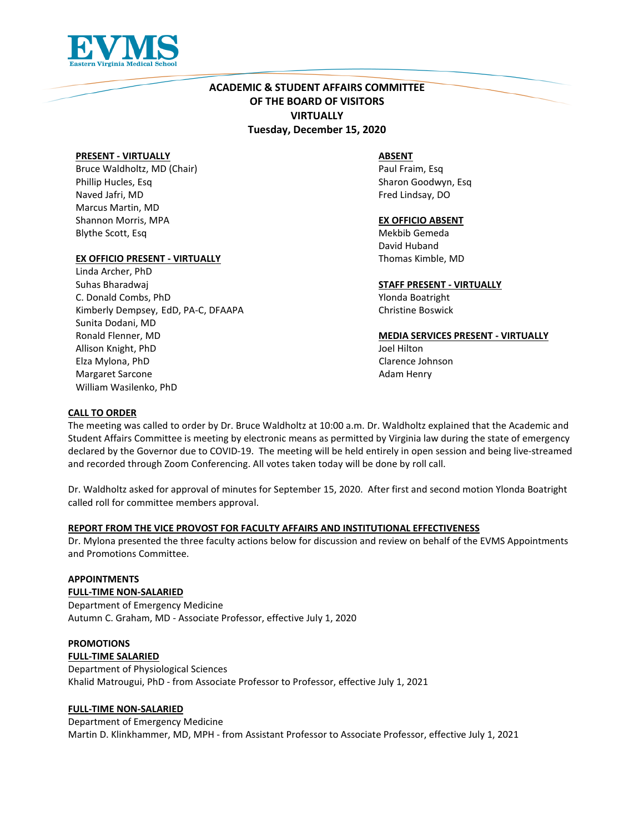

# **ACADEMIC & STUDENT AFFAIRS COMMITTEE OF THE BOARD OF VISITORS VIRTUALLY Tuesday, December 15, 2020**

#### **PRESENT - VIRTUALLY**

Bruce Waldholtz, MD (Chair) Phillip Hucles, Esq Naved Jafri, MD Marcus Martin, MD Shannon Morris, MPA Blythe Scott, Esq

### **EX OFFICIO PRESENT - VIRTUALLY**

Linda Archer, PhD Suhas Bharadwaj C. Donald Combs, PhD Kimberly Dempsey, EdD, PA-C, DFAAPA Sunita Dodani, MD Ronald Flenner, MD Allison Knight, PhD Elza Mylona, PhD Margaret Sarcone William Wasilenko, PhD

### **ABSENT**

Paul Fraim, Esq Sharon Goodwyn, Esq Fred Lindsay, DO

#### **EX OFFICIO ABSENT**

Mekbib Gemeda David Huband Thomas Kimble, MD

#### **STAFF PRESENT - VIRTUALLY**

Ylonda Boatright Christine Boswick

#### **MEDIA SERVICES PRESENT - VIRTUALLY**

Joel Hilton Clarence Johnson Adam Henry

### **CALL TO ORDER**

The meeting was called to order by Dr. Bruce Waldholtz at 10:00 a.m. Dr. Waldholtz explained that the Academic and Student Affairs Committee is meeting by electronic means as permitted by Virginia law during the state of emergency declared by the Governor due to COVID-19. The meeting will be held entirely in open session and being live-streamed and recorded through Zoom Conferencing. All votes taken today will be done by roll call.

Dr. Waldholtz asked for approval of minutes for September 15, 2020. After first and second motion Ylonda Boatright called roll for committee members approval.

#### **REPORT FROM THE VICE PROVOST FOR FACULTY AFFAIRS AND INSTITUTIONAL EFFECTIVENESS**

Dr. Mylona presented the three faculty actions below for discussion and review on behalf of the EVMS Appointments and Promotions Committee.

#### **APPOINTMENTS FULL-TIME NON-SALARIED**

Department of Emergency Medicine Autumn C. Graham, MD - Associate Professor, effective July 1, 2020

# **PROMOTIONS**

**FULL-TIME SALARIED** 

Department of Physiological Sciences Khalid Matrougui, PhD - from Associate Professor to Professor, effective July 1, 2021

## **FULL-TIME NON-SALARIED**

Department of Emergency Medicine Martin D. Klinkhammer, MD, MPH - from Assistant Professor to Associate Professor, effective July 1, 2021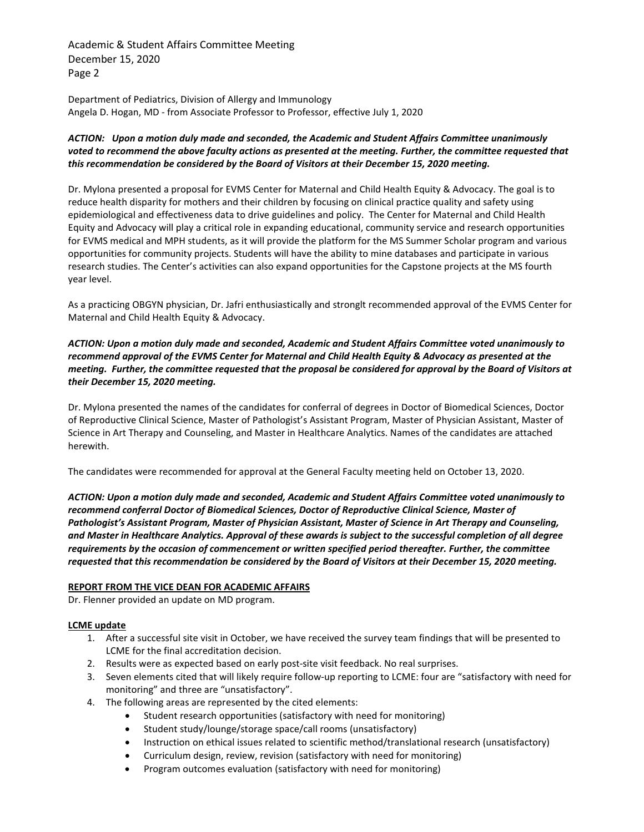Academic & Student Affairs Committee Meeting December 15, 2020 Page 2

Department of Pediatrics, Division of Allergy and Immunology Angela D. Hogan, MD - from Associate Professor to Professor, effective July 1, 2020

## *ACTION: Upon a motion duly made and seconded, the Academic and Student Affairs Committee unanimously*  voted to recommend the above faculty actions as presented at the meeting. Further, the committee requested that *this recommendation be considered by the Board of Visitors at their December 15, 2020 meeting.*

Dr. Mylona presented a proposal for EVMS Center for Maternal and Child Health Equity & Advocacy. The goal is to reduce health disparity for mothers and their children by focusing on clinical practice quality and safety using epidemiological and effectiveness data to drive guidelines and policy. The Center for Maternal and Child Health Equity and Advocacy will play a critical role in expanding educational, community service and research opportunities for EVMS medical and MPH students, as it will provide the platform for the MS Summer Scholar program and various opportunities for community projects. Students will have the ability to mine databases and participate in various research studies. The Center's activities can also expand opportunities for the Capstone projects at the MS fourth year level.

As a practicing OBGYN physician, Dr. Jafri enthusiastically and stronglt recommended approval of the EVMS Center for Maternal and Child Health Equity & Advocacy.

*ACTION: Upon a motion duly made and seconded, Academic and Student Affairs Committee voted unanimously to recommend approval of the EVMS Center for Maternal and Child Health Equity & Advocacy as presented at the meeting. Further, the committee requested that the proposal be considered for approval by the Board of Visitors at their December 15, 2020 meeting.*

Dr. Mylona presented the names of the candidates for conferral of degrees in Doctor of Biomedical Sciences, Doctor of Reproductive Clinical Science, Master of Pathologist's Assistant Program, Master of Physician Assistant, Master of Science in Art Therapy and Counseling, and Master in Healthcare Analytics. Names of the candidates are attached herewith.

The candidates were recommended for approval at the General Faculty meeting held on October 13, 2020.

*ACTION: Upon a motion duly made and seconded, Academic and Student Affairs Committee voted unanimously to recommend conferral Doctor of Biomedical Sciences, Doctor of Reproductive Clinical Science, Master of Pathologist's Assistant Program, Master of Physician Assistant, Master of Science in Art Therapy and Counseling, and Master in Healthcare Analytics. Approval of these awards is subject to the successful completion of all degree requirements by the occasion of commencement or written specified period thereafter. Further, the committee requested that this recommendation be considered by the Board of Visitors at their December 15, 2020 meeting.*

## **REPORT FROM THE VICE DEAN FOR ACADEMIC AFFAIRS**

Dr. Flenner provided an update on MD program.

## **LCME update**

- 1. After a successful site visit in October, we have received the survey team findings that will be presented to LCME for the final accreditation decision.
- 2. Results were as expected based on early post-site visit feedback. No real surprises.
- 3. Seven elements cited that will likely require follow-up reporting to LCME: four are "satisfactory with need for monitoring" and three are "unsatisfactory".
- 4. The following areas are represented by the cited elements:
	- Student research opportunities (satisfactory with need for monitoring)
	- Student study/lounge/storage space/call rooms (unsatisfactory)
	- Instruction on ethical issues related to scientific method/translational research (unsatisfactory)
	- Curriculum design, review, revision (satisfactory with need for monitoring)
	- Program outcomes evaluation (satisfactory with need for monitoring)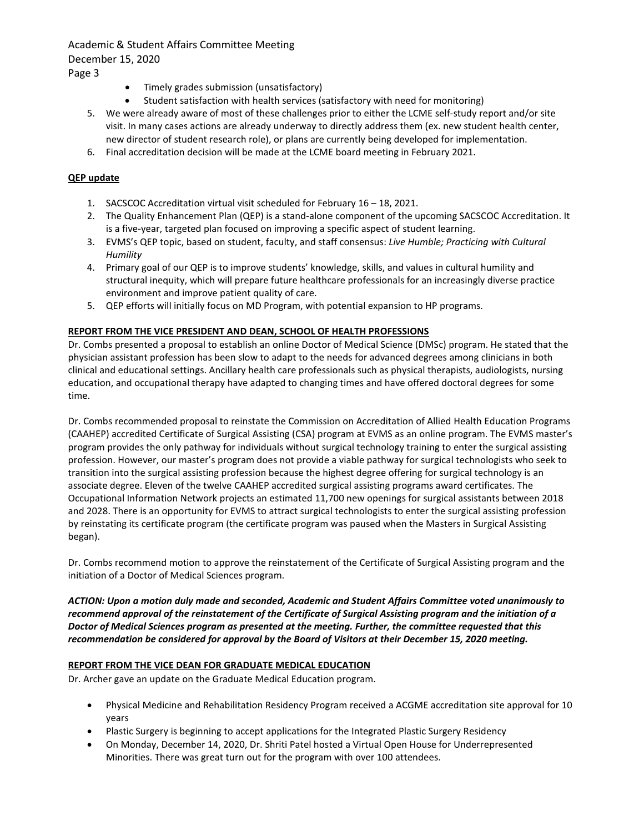## Academic & Student Affairs Committee Meeting December 15, 2020 Page 3

- Timely grades submission (unsatisfactory)
- Student satisfaction with health services (satisfactory with need for monitoring)
- 5. We were already aware of most of these challenges prior to either the LCME self-study report and/or site visit. In many cases actions are already underway to directly address them (ex. new student health center, new director of student research role), or plans are currently being developed for implementation.
- 6. Final accreditation decision will be made at the LCME board meeting in February 2021.

## **QEP update**

- 1. SACSCOC Accreditation virtual visit scheduled for February 16 18, 2021.
- 2. The Quality Enhancement Plan (QEP) is a stand-alone component of the upcoming SACSCOC Accreditation. It is a five-year, targeted plan focused on improving a specific aspect of student learning.
- 3. EVMS's QEP topic, based on student, faculty, and staff consensus: *Live Humble; Practicing with Cultural Humility*
- 4. Primary goal of our QEP is to improve students' knowledge, skills, and values in cultural humility and structural inequity, which will prepare future healthcare professionals for an increasingly diverse practice environment and improve patient quality of care.
- 5. QEP efforts will initially focus on MD Program, with potential expansion to HP programs.

### **REPORT FROM THE VICE PRESIDENT AND DEAN, SCHOOL OF HEALTH PROFESSIONS**

Dr. Combs presented a proposal to establish an online Doctor of Medical Science (DMSc) program. He stated that the physician assistant profession has been slow to adapt to the needs for advanced degrees among clinicians in both clinical and educational settings. Ancillary health care professionals such as physical therapists, audiologists, nursing education, and occupational therapy have adapted to changing times and have offered doctoral degrees for some time.

Dr. Combs recommended proposal to reinstate the Commission on Accreditation of Allied Health Education Programs (CAAHEP) accredited Certificate of Surgical Assisting (CSA) program at EVMS as an online program. The EVMS master's program provides the only pathway for individuals without surgical technology training to enter the surgical assisting profession. However, our master's program does not provide a viable pathway for surgical technologists who seek to transition into the surgical assisting profession because the highest degree offering for surgical technology is an associate degree. Eleven of the twelve CAAHEP accredited surgical assisting programs award certificates. The Occupational Information Network projects an estimated 11,700 new openings for surgical assistants between 2018 and 2028. There is an opportunity for EVMS to attract surgical technologists to enter the surgical assisting profession by reinstating its certificate program (the certificate program was paused when the Masters in Surgical Assisting began).

Dr. Combs recommend motion to approve the reinstatement of the Certificate of Surgical Assisting program and the initiation of a Doctor of Medical Sciences program.

*ACTION: Upon a motion duly made and seconded, Academic and Student Affairs Committee voted unanimously to recommend approval of the reinstatement of the Certificate of Surgical Assisting program and the initiation of a Doctor of Medical Sciences program as presented at the meeting. Further, the committee requested that this recommendation be considered for approval by the Board of Visitors at their December 15, 2020 meeting.*

#### **REPORT FROM THE VICE DEAN FOR GRADUATE MEDICAL EDUCATION**

Dr. Archer gave an update on the Graduate Medical Education program.

- Physical Medicine and Rehabilitation Residency Program received a ACGME accreditation site approval for 10 years
- Plastic Surgery is beginning to accept applications for the Integrated Plastic Surgery Residency
- On Monday, December 14, 2020, Dr. Shriti Patel hosted a Virtual Open House for Underrepresented Minorities. There was great turn out for the program with over 100 attendees.